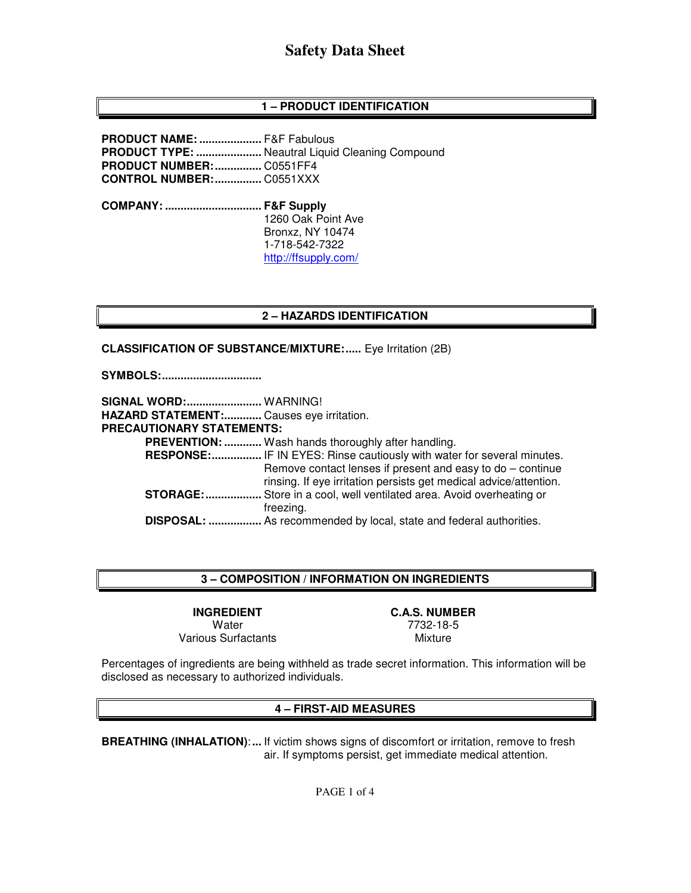## **1 – PRODUCT IDENTIFICATION**

**PRODUCT NAME: ....................** F&F Fabulous **PRODUCT TYPE: .....................** Neautral Liquid Cleaning Compound **PRODUCT NUMBER: ...............** C0551FF4 **CONTROL NUMBER: ...............** C0551XXX

**COMPANY: ............................... F&F Supply** 1260 Oak Point Ave Bronxz, NY 10474 1-718-542-7322 http://ffsupply.com/

#### **2 – HAZARDS IDENTIFICATION**

**CLASSIFICATION OF SUBSTANCE/MIXTURE:..... Eye Irritation (2B)** 

**SYMBOLS: ................................** 

| <b>SIGNAL WORD: WARNING!</b><br>HAZARD STATEMENT: Causes eye irritation. |                                                                                                                                   |
|--------------------------------------------------------------------------|-----------------------------------------------------------------------------------------------------------------------------------|
| PRECAUTIONARY STATEMENTS:                                                |                                                                                                                                   |
|                                                                          | <b>PREVENTION: </b> Wash hands thoroughly after handling.                                                                         |
|                                                                          | RESPONSE: IF IN EYES: Rinse cautiously with water for several minutes.                                                            |
|                                                                          | Remove contact lenses if present and easy to $do$ – continue<br>rinsing. If eye irritation persists get medical advice/attention. |
| <b>STORAGE:</b>                                                          | Store in a cool, well ventilated area. Avoid overheating or                                                                       |
|                                                                          | freezing.                                                                                                                         |
|                                                                          | DISPOSAL:  As recommended by local, state and federal authorities.                                                                |

#### **3 – COMPOSITION / INFORMATION ON INGREDIENTS**

**INGREDIENT C.A.S. NUMBER**  Various Surfactants

Water 7732-18-5

Percentages of ingredients are being withheld as trade secret information. This information will be disclosed as necessary to authorized individuals.

#### **4 – FIRST-AID MEASURES**

**BREATHING (INHALATION)**: **...** If victim shows signs of discomfort or irritation, remove to fresh air. If symptoms persist, get immediate medical attention.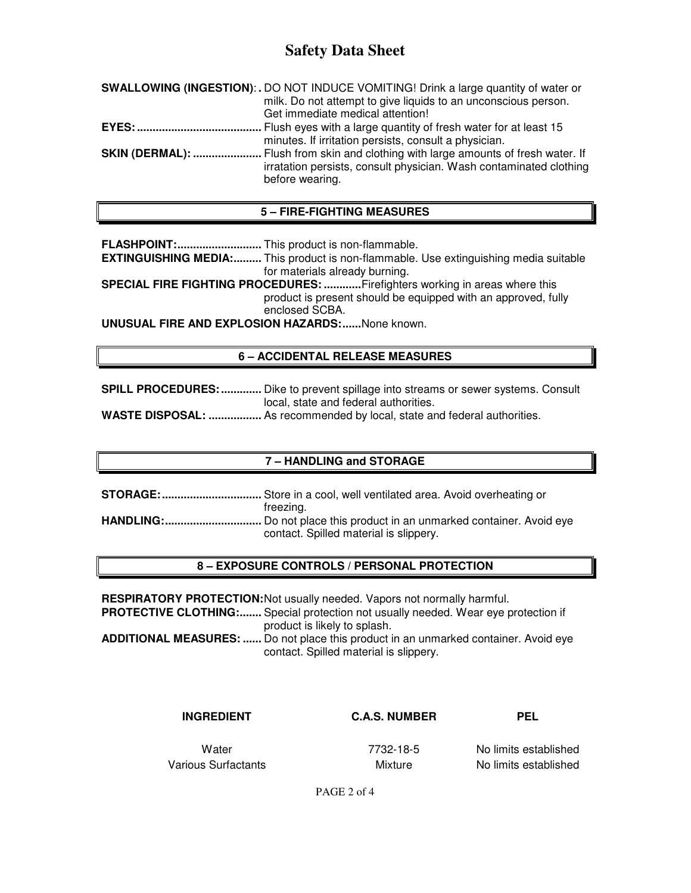| <b>SWALLOWING (INGESTION):.</b> DO NOT INDUCE VOMITING! Drink a large quantity of water or                                                                                         |
|------------------------------------------------------------------------------------------------------------------------------------------------------------------------------------|
| milk. Do not attempt to give liquids to an unconscious person.                                                                                                                     |
| Get immediate medical attention!                                                                                                                                                   |
|                                                                                                                                                                                    |
| minutes. If irritation persists, consult a physician.                                                                                                                              |
| <b>SKIN (DERMAL): </b> Flush from skin and clothing with large amounts of fresh water. If<br>irratation persists, consult physician. Wash contaminated clothing<br>before wearing. |
|                                                                                                                                                                                    |

### **5 – FIRE-FIGHTING MEASURES**

**FLASHPOINT: ...........................** This product is non-flammable.

**EXTINGUISHING MEDIA:.........** This product is non-flammable. Use extinguishing media suitable for materials already burning.

**SPECIAL FIRE FIGHTING PROCEDURES: ............** Firefighters working in areas where this product is present should be equipped with an approved, fully enclosed SCBA.

**UNUSUAL FIRE AND EXPLOSION HAZARDS: ......** None known.

#### **6 – ACCIDENTAL RELEASE MEASURES**

**SPILL PROCEDURES: .............** Dike to prevent spillage into streams or sewer systems. Consult local, state and federal authorities.

**WASTE DISPOSAL: .................** As recommended by local, state and federal authorities.

#### **7 – HANDLING and STORAGE**

**STORAGE: ................................** Store in a cool, well ventilated area. Avoid overheating or freezing. **HANDLING: ...............................** Do not place this product in an unmarked container. Avoid eye contact. Spilled material is slippery.

#### **8 – EXPOSURE CONTROLS / PERSONAL PROTECTION**

**RESPIRATORY PROTECTION: Not usually needed. Vapors not normally harmful. PROTECTIVE CLOTHING:.......** Special protection not usually needed. Wear eye protection if product is likely to splash. **ADDITIONAL MEASURES: ......** Do not place this product in an unmarked container. Avoid eye contact. Spilled material is slippery.

#### **INGREDIENT C.A.S. NUMBER PEL**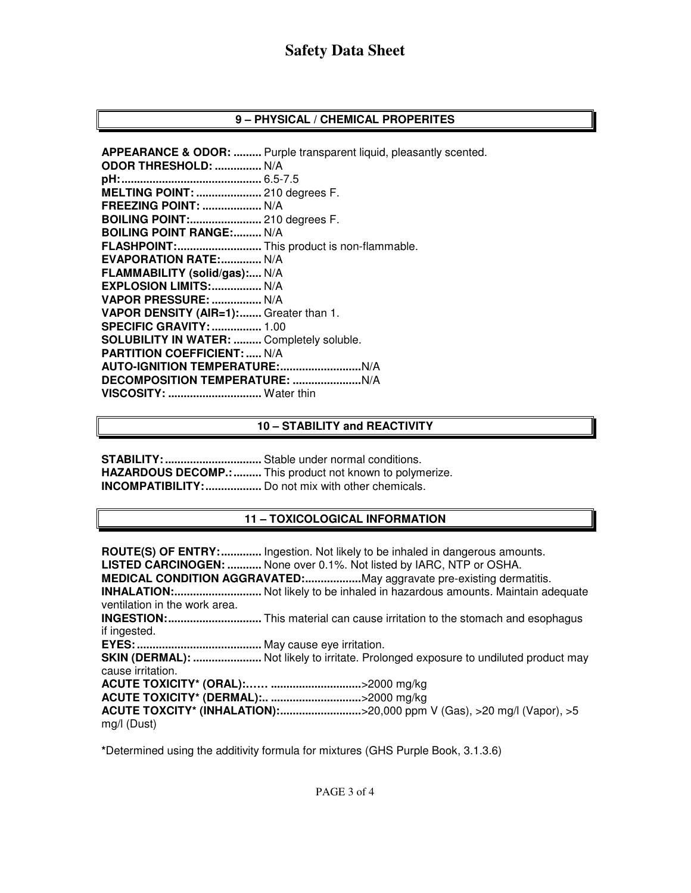#### **9 – PHYSICAL / CHEMICAL PROPERITES**

**APPEARANCE & ODOR: .........** Purple transparent liquid, pleasantly scented. **ODOR THRESHOLD: ...............** N/A **pH: .............................................** 6.5-7.5 **MELTING POINT: .....................** 210 degrees F. **FREEZING POINT: ...................** N/A **BOILING POINT:.......................** 210 degrees F. **BOILING POINT RANGE:......... N/A FLASHPOINT: ...........................** This product is non-flammable. **EVAPORATION RATE: .............. N/A FLAMMABILITY (solid/gas):....** N/A **EXPLOSION LIMITS: ................** N/A **VAPOR PRESSURE: ................** N/A **VAPOR DENSITY (AIR=1): .......** Greater than 1. **SPECIFIC GRAVITY: ................** 1.00 **SOLUBILITY IN WATER: .........** Completely soluble. **PARTITION COEFFICIENT: .....** N/A **AUTO-IGNITION TEMPERATURE: ..........................** N/A **DECOMPOSITION TEMPERATURE: ......................** N/A **VISCOSITY: ..............................** Water thin

#### **10 – STABILITY and REACTIVITY**

**STABILITY: ...............................** Stable under normal conditions. **HAZARDOUS DECOMP.: .........** This product not known to polymerize. **INCOMPATIBILITY: ..................** Do not mix with other chemicals.

### **11 – TOXICOLOGICAL INFORMATION**

**ROUTE(S) OF ENTRY: .............** Ingestion. Not likely to be inhaled in dangerous amounts. **LISTED CARCINOGEN: ...........** None over 0.1%. Not listed by IARC, NTP or OSHA. **MEDICAL CONDITION AGGRAVATED: ..................** May aggravate pre-existing dermatitis. **INHALATION: ............................** Not likely to be inhaled in hazardous amounts. Maintain adequate ventilation in the work area. **INGESTION: ..............................** This material can cause irritation to the stomach and esophagus if ingested. **EYES: ........................................** May cause eye irritation. **SKIN (DERMAL): .......................** Not likely to irritate. Prolonged exposure to undiluted product may cause irritation. **ACUTE TOXICITY\* (ORAL):…… .............................** >2000 mg/kg **ACUTE TOXICITY\* (DERMAL):.. .............................** >2000 mg/kg **ACUTE TOXCITY\* (INHALATION): ..........................** >20,000 ppm V (Gas), >20 mg/l (Vapor), >5

mg/l (Dust)

**\***Determined using the additivity formula for mixtures (GHS Purple Book, 3.1.3.6)